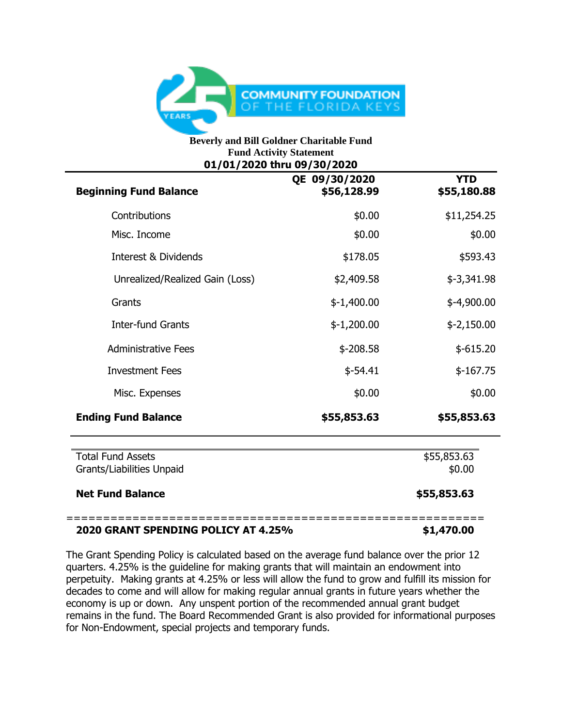

## **Beverly and Bill Goldner Charitable Fund Fund Activity Statement 01/01/2020 thru 09/30/2020**

| <b>Beginning Fund Balance</b>                         | QE 09/30/2020<br>\$56,128.99 | <b>YTD</b><br>\$55,180.88 |
|-------------------------------------------------------|------------------------------|---------------------------|
| Contributions                                         | \$0.00                       | \$11,254.25               |
| Misc. Income                                          | \$0.00                       | \$0.00                    |
| Interest & Dividends                                  | \$178.05                     | \$593.43                  |
| Unrealized/Realized Gain (Loss)                       | \$2,409.58                   | $$-3,341.98$              |
| Grants                                                | $$-1,400.00$                 | $$-4,900.00$              |
| <b>Inter-fund Grants</b>                              | $$-1,200.00$                 | $$-2,150.00$              |
| <b>Administrative Fees</b>                            | $$ -208.58$                  | $$-615.20$                |
| <b>Investment Fees</b>                                | $$-54.41$                    | $$-167.75$                |
| Misc. Expenses                                        | \$0.00                       | \$0.00                    |
| <b>Ending Fund Balance</b>                            | \$55,853.63                  | \$55,853.63               |
| <b>Total Fund Assets</b><br>Grants/Liabilities Unpaid | \$55,853.63<br>\$0.00        |                           |
| <b>Net Fund Balance</b>                               | \$55,853.63                  |                           |

## **2020 GRANT SPENDING POLICY AT 4.25% \$1,470.00**

The Grant Spending Policy is calculated based on the average fund balance over the prior 12 quarters. 4.25% is the guideline for making grants that will maintain an endowment into perpetuity. Making grants at 4.25% or less will allow the fund to grow and fulfill its mission for decades to come and will allow for making regular annual grants in future years whether the economy is up or down. Any unspent portion of the recommended annual grant budget remains in the fund. The Board Recommended Grant is also provided for informational purposes for Non-Endowment, special projects and temporary funds.